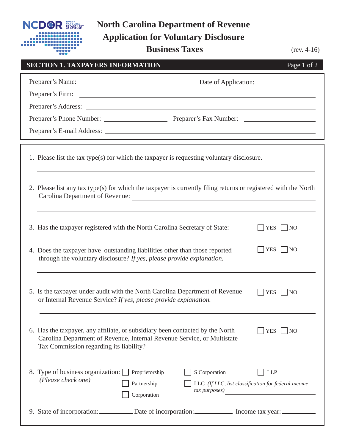

## **North Carolina Department of Revenue Application for Voluntary Disclosure**

## **Business Taxes**

(rev. 4-16)

| <b>SECTION 1. TAXPAYERS INFORMATION</b>                                                                                                                                                                                                                                                                                                          | Page 1 of 2                                               |
|--------------------------------------------------------------------------------------------------------------------------------------------------------------------------------------------------------------------------------------------------------------------------------------------------------------------------------------------------|-----------------------------------------------------------|
|                                                                                                                                                                                                                                                                                                                                                  |                                                           |
|                                                                                                                                                                                                                                                                                                                                                  |                                                           |
|                                                                                                                                                                                                                                                                                                                                                  |                                                           |
|                                                                                                                                                                                                                                                                                                                                                  |                                                           |
|                                                                                                                                                                                                                                                                                                                                                  |                                                           |
|                                                                                                                                                                                                                                                                                                                                                  |                                                           |
| 1. Please list the tax type(s) for which the taxpayer is requesting voluntary disclosure.                                                                                                                                                                                                                                                        |                                                           |
| 2. Please list any tax type(s) for which the taxpayer is currently filing returns or registered with the North<br>Carolina Department of Revenue: 2008 and 2008 and 2008 and 2008 and 2008 and 2008 and 2008 and 2008 and 2008 and 2008 and 2008 and 2008 and 2008 and 2008 and 2008 and 2008 and 2008 and 2008 and 2008 and 2008 and 2008 and 2 |                                                           |
| 3. Has the taxpayer registered with the North Carolina Secretary of State:                                                                                                                                                                                                                                                                       | $YES$    NO                                               |
| 4. Does the taxpayer have outstanding liabilities other than those reported<br>through the voluntary disclosure? If yes, please provide explanation.                                                                                                                                                                                             | $ $ YES $ $ NO                                            |
| 5. Is the taxpayer under audit with the North Carolina Department of Revenue<br>or Internal Revenue Service? If yes, please provide explanation.                                                                                                                                                                                                 | $ $ YES $ $ NO                                            |
| 6. Has the taxpayer, any affiliate, or subsidiary been contacted by the North<br>Carolina Department of Revenue, Internal Revenue Service, or Multistate<br>Tax Commission regarding its liability?                                                                                                                                              | $\Box$ YES<br>$\Box$ NO                                   |
| Proprietorship<br>S Corporation<br>8. Type of business organization:<br>(Please check one)<br>Partnership<br>LLC (If LLC, list classification for federal income<br>tax purposes)<br>Corporation                                                                                                                                                 | <b>LLP</b><br><u> 1989 - Jan Samuel Barbara, martin d</u> |
| 9. State of incorporation: Date of incorporation: Income tax year: ________                                                                                                                                                                                                                                                                      |                                                           |